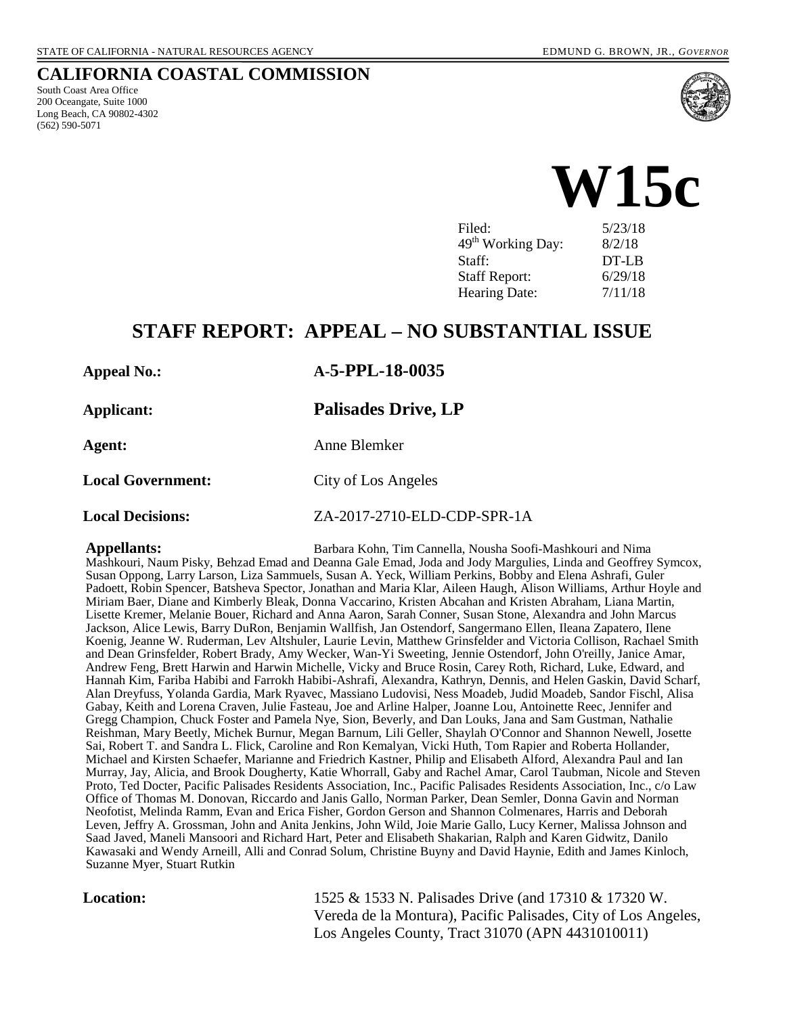#### **CALIFORNIA COASTAL COMMISSION**

South Coast Area Office 200 Oceangate, Suite 1000 Long Beach, CA 90802-4302 (562) 590-5071



**W15c** 

| Filed:                        | 5/23/18  |
|-------------------------------|----------|
| 49 <sup>th</sup> Working Day: | 8/2/18   |
| Staff:                        | $DT-I.B$ |
| <b>Staff Report:</b>          | 6/29/18  |
| Hearing Date:                 | 7/11/18  |

## **STAFF REPORT: APPEAL – NO SUBSTANTIAL ISSUE**

#### **Appeal No.: A-5-PPL-18-0035**

**Applicant: Palisades Drive, LP**

**Agent:** Anne Blemker

Local Government: City of Los Angeles

**Local Decisions:** ZA-2017-2710-ELD-CDP-SPR-1A

**Appellants:** Barbara Kohn, Tim Cannella, Nousha Soofi-Mashkouri and Nima Mashkouri, Naum Pisky, Behzad Emad and Deanna Gale Emad, Joda and Jody Margulies, Linda and Geoffrey Symcox, Susan Oppong, Larry Larson, Liza Sammuels, Susan A. Yeck, William Perkins, Bobby and Elena Ashrafi, Guler Padoett, Robin Spencer, Batsheva Spector, Jonathan and Maria Klar, Aileen Haugh, Alison Williams, Arthur Hoyle and Miriam Baer, Diane and Kimberly Bleak, Donna Vaccarino, Kristen Abcahan and Kristen Abraham, Liana Martin, Lisette Kremer, Melanie Bouer, Richard and Anna Aaron, Sarah Conner, Susan Stone, Alexandra and John Marcus Jackson, Alice Lewis, Barry DuRon, Benjamin Wallfish, Jan Ostendorf, Sangermano Ellen, Ileana Zapatero, Ilene Koenig, Jeanne W. Ruderman, Lev Altshuler, Laurie Levin, Matthew Grinsfelder and Victoria Collison, Rachael Smith and Dean Grinsfelder, Robert Brady, Amy Wecker, Wan-Yi Sweeting, Jennie Ostendorf, John O'reilly, Janice Amar, Andrew Feng, Brett Harwin and Harwin Michelle, Vicky and Bruce Rosin, Carey Roth, Richard, Luke, Edward, and Hannah Kim, Fariba Habibi and Farrokh Habibi-Ashrafi, Alexandra, Kathryn, Dennis, and Helen Gaskin, David Scharf, Alan Dreyfuss, Yolanda Gardia, Mark Ryavec, Massiano Ludovisi, Ness Moadeb, Judid Moadeb, Sandor Fischl, Alisa Gabay, Keith and Lorena Craven, Julie Fasteau, Joe and Arline Halper, Joanne Lou, Antoinette Reec, Jennifer and Gregg Champion, Chuck Foster and Pamela Nye, Sion, Beverly, and Dan Louks, Jana and Sam Gustman, Nathalie Reishman, Mary Beetly, Michek Burnur, Megan Barnum, Lili Geller, Shaylah O'Connor and Shannon Newell, Josette Sai, Robert T. and Sandra L. Flick, Caroline and Ron Kemalyan, Vicki Huth, Tom Rapier and Roberta Hollander, Michael and Kirsten Schaefer, Marianne and Friedrich Kastner, Philip and Elisabeth Alford, Alexandra Paul and Ian Murray, Jay, Alicia, and Brook Dougherty, Katie Whorrall, Gaby and Rachel Amar, Carol Taubman, Nicole and Steven Proto, Ted Docter, Pacific Palisades Residents Association, Inc., Pacific Palisades Residents Association, Inc., c/o Law Office of Thomas M. Donovan, Riccardo and Janis Gallo, Norman Parker, Dean Semler, Donna Gavin and Norman Neofotist, Melinda Ramm, Evan and Erica Fisher, Gordon Gerson and Shannon Colmenares, Harris and Deborah Leven, Jeffry A. Grossman, John and Anita Jenkins, John Wild, Joie Marie Gallo, Lucy Kerner, Malissa Johnson and Saad Javed, Maneli Mansoori and Richard Hart, Peter and Elisabeth Shakarian, Ralph and Karen Gidwitz, Danilo Kawasaki and Wendy Arneill, Alli and Conrad Solum, Christine Buyny and David Haynie, Edith and James Kinloch, Suzanne Myer, Stuart Rutkin

**Location:** 1525 & 1533 N. Palisades Drive (and 17310 & 17320 W. Vereda de la Montura), Pacific Palisades, City of Los Angeles, Los Angeles County, Tract 31070 (APN 4431010011)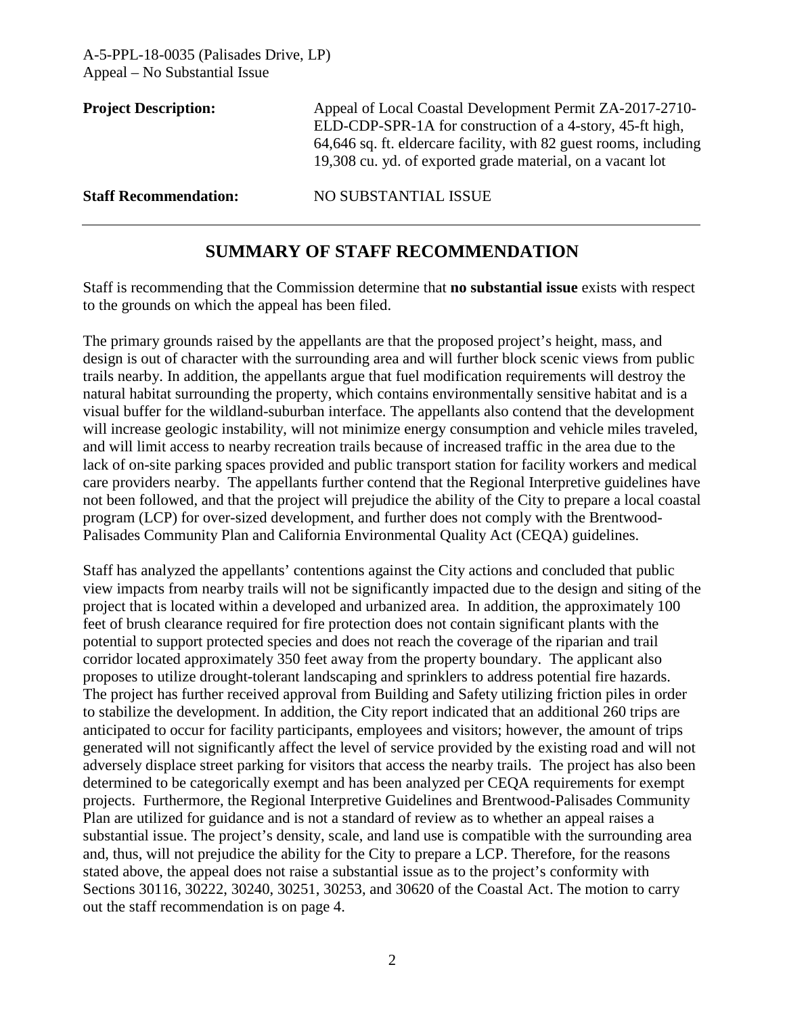| <b>Project Description:</b>  | Appeal of Local Coastal Development Permit ZA-2017-2710-<br>ELD-CDP-SPR-1A for construction of a 4-story, 45-ft high,<br>64,646 sq. ft. eldercare facility, with 82 guest rooms, including<br>19,308 cu. yd. of exported grade material, on a vacant lot |
|------------------------------|----------------------------------------------------------------------------------------------------------------------------------------------------------------------------------------------------------------------------------------------------------|
| <b>Staff Recommendation:</b> | NO SUBSTANTIAL ISSUE                                                                                                                                                                                                                                     |

## **SUMMARY OF STAFF RECOMMENDATION**

Staff is recommending that the Commission determine that **no substantial issue** exists with respect to the grounds on which the appeal has been filed.

The primary grounds raised by the appellants are that the proposed project's height, mass, and design is out of character with the surrounding area and will further block scenic views from public trails nearby. In addition, the appellants argue that fuel modification requirements will destroy the natural habitat surrounding the property, which contains environmentally sensitive habitat and is a visual buffer for the wildland-suburban interface. The appellants also contend that the development will increase geologic instability, will not minimize energy consumption and vehicle miles traveled, and will limit access to nearby recreation trails because of increased traffic in the area due to the lack of on-site parking spaces provided and public transport station for facility workers and medical care providers nearby. The appellants further contend that the Regional Interpretive guidelines have not been followed, and that the project will prejudice the ability of the City to prepare a local coastal program (LCP) for over-sized development, and further does not comply with the Brentwood-Palisades Community Plan and California Environmental Quality Act (CEQA) guidelines.

Staff has analyzed the appellants' contentions against the City actions and concluded that public view impacts from nearby trails will not be significantly impacted due to the design and siting of the project that is located within a developed and urbanized area. In addition, the approximately 100 feet of brush clearance required for fire protection does not contain significant plants with the potential to support protected species and does not reach the coverage of the riparian and trail corridor located approximately 350 feet away from the property boundary. The applicant also proposes to utilize drought-tolerant landscaping and sprinklers to address potential fire hazards. The project has further received approval from Building and Safety utilizing friction piles in order to stabilize the development. In addition, the City report indicated that an additional 260 trips are anticipated to occur for facility participants, employees and visitors; however, the amount of trips generated will not significantly affect the level of service provided by the existing road and will not adversely displace street parking for visitors that access the nearby trails. The project has also been determined to be categorically exempt and has been analyzed per CEQA requirements for exempt projects. Furthermore, the Regional Interpretive Guidelines and Brentwood-Palisades Community Plan are utilized for guidance and is not a standard of review as to whether an appeal raises a substantial issue. The project's density, scale, and land use is compatible with the surrounding area and, thus, will not prejudice the ability for the City to prepare a LCP. Therefore, for the reasons stated above, the appeal does not raise a substantial issue as to the project's conformity with Sections 30116, 30222, 30240, 30251, 30253, and 30620 of the Coastal Act. The motion to carry out the staff recommendation is on page 4.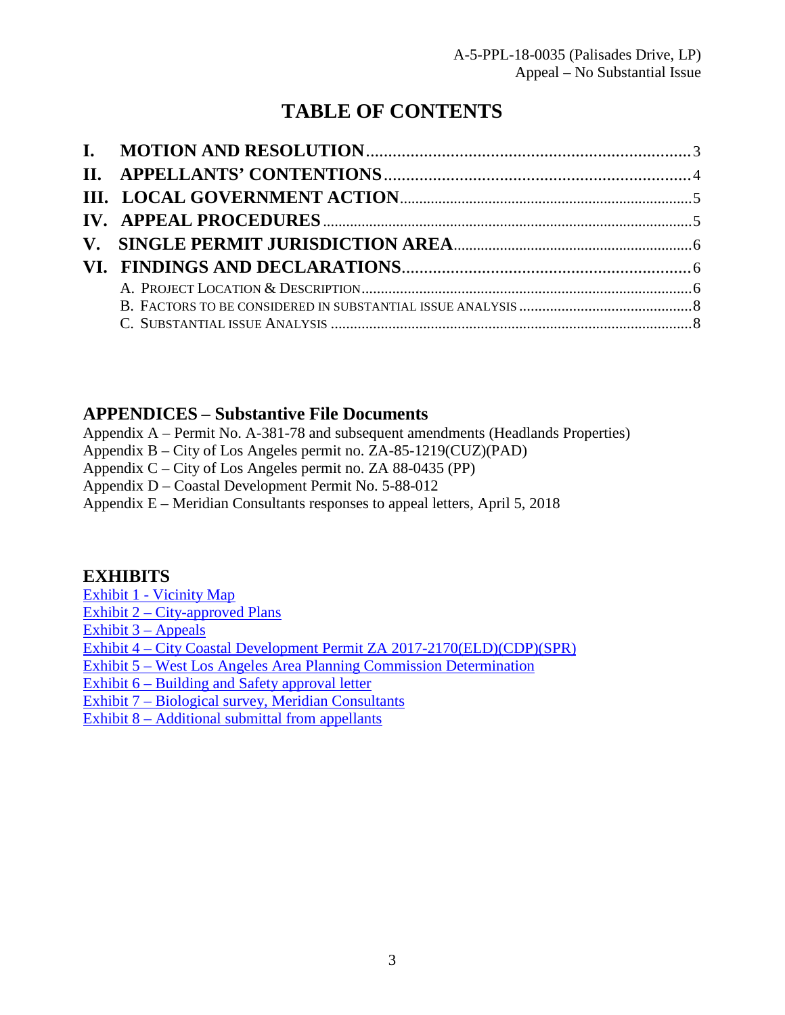# **TABLE OF CONTENTS**

## **APPENDICES – Substantive File Documents**

Appendix A – Permit No. A-381-78 and subsequent amendments (Headlands Properties)

- Appendix B City of Los Angeles permit no. ZA-85-1219(CUZ)(PAD)
- Appendix C City of Los Angeles permit no. ZA 88-0435 (PP)
- Appendix D Coastal Development Permit No. 5-88-012
- Appendix E Meridian Consultants responses to appeal letters, April 5, 2018

## **EXHIBITS**

- [Exhibit 1 Vicinity Map](https://documents.coastal.ca.gov/reports/2018/7/W15c/W15c-7-2018-exhibits.pdf)
- Exhibit 2 City-approved Plans
- Exhibit  $3 -$  Appeals

[Exhibit 4 – City Coastal Development Permit ZA 2017-2170\(ELD\)\(CDP\)\(SPR\)](https://documents.coastal.ca.gov/reports/2018/7/W15c/W15c-7-2018-exhibits.pdf) 

[Exhibit 5 – West Los Angeles Area Planning Commission Determination](https://documents.coastal.ca.gov/reports/2018/7/W15c/W15c-7-2018-exhibits.pdf)

- [Exhibit 6 Building and Safety approval letter](https://documents.coastal.ca.gov/reports/2018/7/W15c/W15c-7-2018-exhibits.pdf)
- [Exhibit 7 Biological survey, Meridian Consultants](https://documents.coastal.ca.gov/reports/2018/7/W15c/W15c-7-2018-exhibits.pdf)
- [Exhibit 8 Additional submittal from appellants](https://documents.coastal.ca.gov/reports/2018/7/W15c/W15c-7-2018-exhibits.pdf)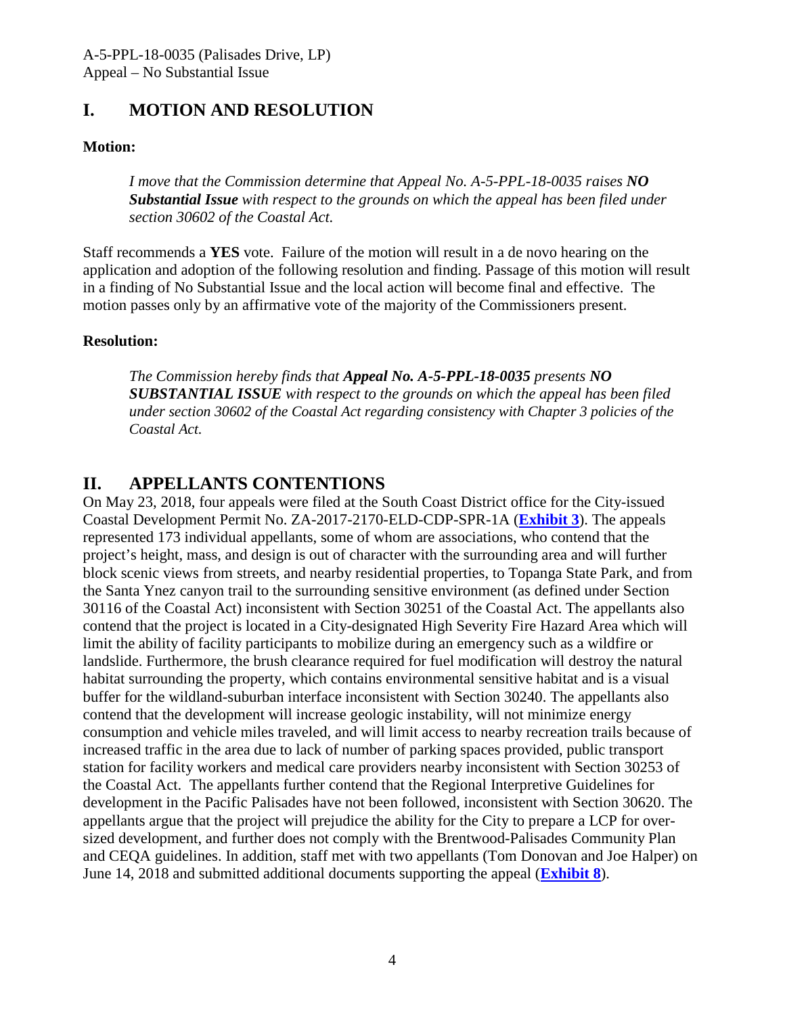## <span id="page-3-0"></span>**I. MOTION AND RESOLUTION**

## **Motion:**

*I move that the Commission determine that Appeal No. A-5-PPL-18-0035 raises NO Substantial Issue with respect to the grounds on which the appeal has been filed under section 30602 of the Coastal Act.* 

Staff recommends a **YES** vote. Failure of the motion will result in a de novo hearing on the application and adoption of the following resolution and finding. Passage of this motion will result in a finding of No Substantial Issue and the local action will become final and effective. The motion passes only by an affirmative vote of the majority of the Commissioners present.

## **Resolution:**

*The Commission hereby finds that Appeal No. A-5-PPL-18-0035 presents NO SUBSTANTIAL ISSUE with respect to the grounds on which the appeal has been filed under section 30602 of the Coastal Act regarding consistency with Chapter 3 policies of the Coastal Act.* 

## <span id="page-3-1"></span>**II. APPELLANTS CONTENTIONS**

On May 23, 2018, four appeals were filed at the South Coast District office for the City-issued Coastal Development Permit No. ZA-2017-2170-ELD-CDP-SPR-1A (**[Exhibit 3](https://documents.coastal.ca.gov/reports/2018/7/W15c/W15c-7-2018-exhibits.pdf)**). The appeals represented 173 individual appellants, some of whom are associations, who contend that the project's height, mass, and design is out of character with the surrounding area and will further block scenic views from streets, and nearby residential properties, to Topanga State Park, and from the Santa Ynez canyon trail to the surrounding sensitive environment (as defined under Section 30116 of the Coastal Act) inconsistent with Section 30251 of the Coastal Act. The appellants also contend that the project is located in a City-designated High Severity Fire Hazard Area which will limit the ability of facility participants to mobilize during an emergency such as a wildfire or landslide. Furthermore, the brush clearance required for fuel modification will destroy the natural habitat surrounding the property, which contains environmental sensitive habitat and is a visual buffer for the wildland-suburban interface inconsistent with Section 30240. The appellants also contend that the development will increase geologic instability, will not minimize energy consumption and vehicle miles traveled, and will limit access to nearby recreation trails because of increased traffic in the area due to lack of number of parking spaces provided, public transport station for facility workers and medical care providers nearby inconsistent with Section 30253 of the Coastal Act. The appellants further contend that the Regional Interpretive Guidelines for development in the Pacific Palisades have not been followed, inconsistent with Section 30620. The appellants argue that the project will prejudice the ability for the City to prepare a LCP for oversized development, and further does not comply with the Brentwood-Palisades Community Plan and CEQA guidelines. In addition, staff met with two appellants (Tom Donovan and Joe Halper) on June 14, 2018 and submitted additional documents supporting the appeal (**[Exhibit 8](https://documents.coastal.ca.gov/reports/2018/7/W15c/W15c-7-2018-exhibits.pdf)**).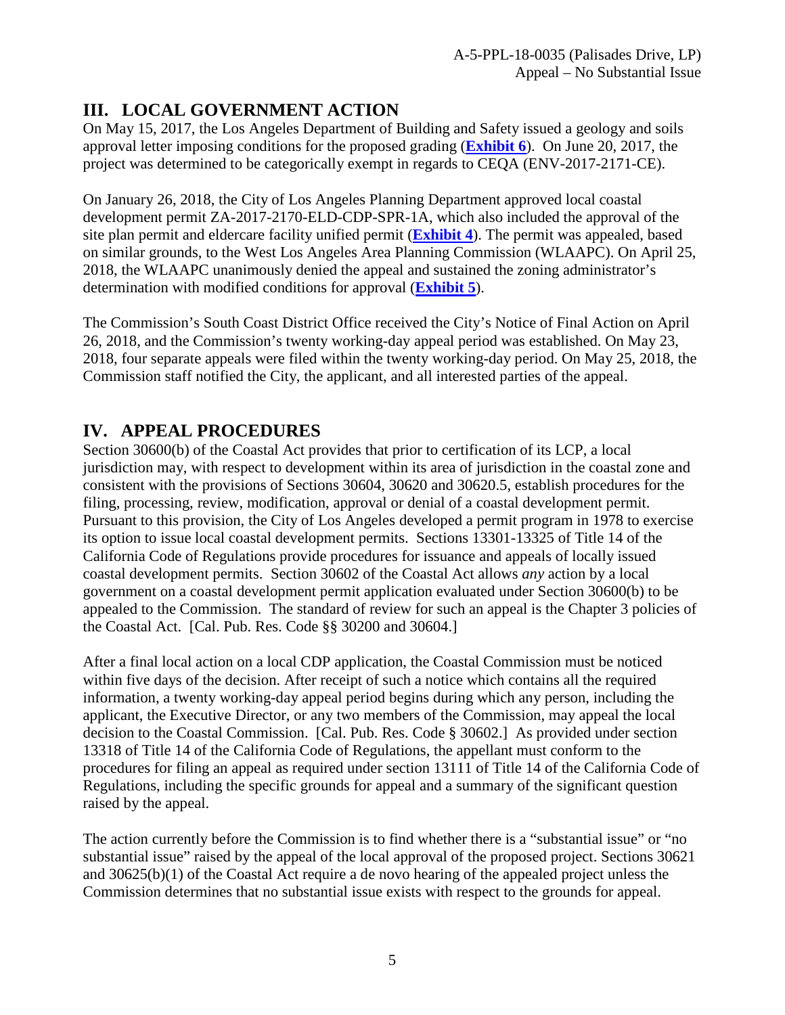## <span id="page-4-0"></span>**III. LOCAL GOVERNMENT ACTION**

On May 15, 2017, the Los Angeles Department of Building and Safety issued a geology and soils approval letter imposing conditions for the proposed grading (**[Exhibit 6](https://documents.coastal.ca.gov/reports/2018/7/W15c/W15c-7-2018-exhibits.pdf)**). On June 20, 2017, the project was determined to be categorically exempt in regards to CEQA (ENV-2017-2171-CE).

On January 26, 2018, the City of Los Angeles Planning Department approved local coastal development permit ZA-2017-2170-ELD-CDP-SPR-1A, which also included the approval of the site plan permit and eldercare facility unified permit (**[Exhibit 4](https://documents.coastal.ca.gov/reports/2018/7/W15c/W15c-7-2018-exhibits.pdf)**). The permit was appealed, based on similar grounds, to the West Los Angeles Area Planning Commission (WLAAPC). On April 25, 2018, the WLAAPC unanimously denied the appeal and sustained the zoning administrator's determination with modified conditions for approval (**[Exhibit 5](https://documents.coastal.ca.gov/reports/2018/7/W15c/W15c-7-2018-exhibits.pdf)**).

The Commission's South Coast District Office received the City's Notice of Final Action on April 26, 2018, and the Commission's twenty working-day appeal period was established. On May 23, 2018, four separate appeals were filed within the twenty working-day period. On May 25, 2018, the Commission staff notified the City, the applicant, and all interested parties of the appeal.

## <span id="page-4-1"></span>**IV. APPEAL PROCEDURES**

Section 30600(b) of the Coastal Act provides that prior to certification of its LCP, a local jurisdiction may, with respect to development within its area of jurisdiction in the coastal zone and consistent with the provisions of Sections 30604, 30620 and 30620.5, establish procedures for the filing, processing, review, modification, approval or denial of a coastal development permit. Pursuant to this provision, the City of Los Angeles developed a permit program in 1978 to exercise its option to issue local coastal development permits. Sections 13301-13325 of Title 14 of the California Code of Regulations provide procedures for issuance and appeals of locally issued coastal development permits. Section 30602 of the Coastal Act allows *any* action by a local government on a coastal development permit application evaluated under Section 30600(b) to be appealed to the Commission. The standard of review for such an appeal is the Chapter 3 policies of the Coastal Act. [Cal. Pub. Res. Code §§ 30200 and 30604.]

After a final local action on a local CDP application, the Coastal Commission must be noticed within five days of the decision. After receipt of such a notice which contains all the required information, a twenty working-day appeal period begins during which any person, including the applicant, the Executive Director, or any two members of the Commission, may appeal the local decision to the Coastal Commission. [Cal. Pub. Res. Code § 30602.] As provided under section 13318 of Title 14 of the California Code of Regulations, the appellant must conform to the procedures for filing an appeal as required under section 13111 of Title 14 of the California Code of Regulations, including the specific grounds for appeal and a summary of the significant question raised by the appeal.

The action currently before the Commission is to find whether there is a "substantial issue" or "no substantial issue" raised by the appeal of the local approval of the proposed project. Sections 30621 and 30625(b)(1) of the Coastal Act require a de novo hearing of the appealed project unless the Commission determines that no substantial issue exists with respect to the grounds for appeal.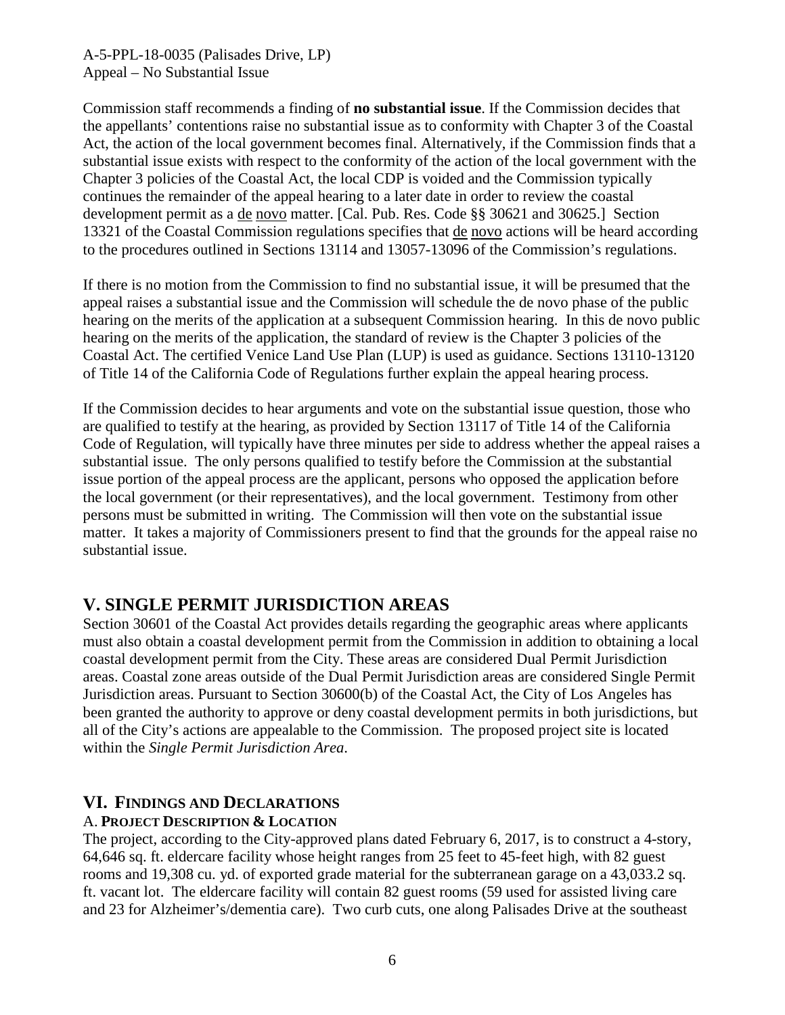Commission staff recommends a finding of **no substantial issue**. If the Commission decides that the appellants' contentions raise no substantial issue as to conformity with Chapter 3 of the Coastal Act, the action of the local government becomes final. Alternatively, if the Commission finds that a substantial issue exists with respect to the conformity of the action of the local government with the Chapter 3 policies of the Coastal Act, the local CDP is voided and the Commission typically continues the remainder of the appeal hearing to a later date in order to review the coastal development permit as a de novo matter. [Cal. Pub. Res. Code §§ 30621 and 30625.] Section 13321 of the Coastal Commission regulations specifies that de novo actions will be heard according to the procedures outlined in Sections 13114 and 13057-13096 of the Commission's regulations.

If there is no motion from the Commission to find no substantial issue, it will be presumed that the appeal raises a substantial issue and the Commission will schedule the de novo phase of the public hearing on the merits of the application at a subsequent Commission hearing. In this de novo public hearing on the merits of the application, the standard of review is the Chapter 3 policies of the Coastal Act. The certified Venice Land Use Plan (LUP) is used as guidance. Sections 13110-13120 of Title 14 of the California Code of Regulations further explain the appeal hearing process.

If the Commission decides to hear arguments and vote on the substantial issue question, those who are qualified to testify at the hearing, as provided by Section 13117 of Title 14 of the California Code of Regulation, will typically have three minutes per side to address whether the appeal raises a substantial issue. The only persons qualified to testify before the Commission at the substantial issue portion of the appeal process are the applicant, persons who opposed the application before the local government (or their representatives), and the local government. Testimony from other persons must be submitted in writing. The Commission will then vote on the substantial issue matter. It takes a majority of Commissioners present to find that the grounds for the appeal raise no substantial issue.

## <span id="page-5-0"></span>**V. SINGLE PERMIT JURISDICTION AREAS**

Section 30601 of the Coastal Act provides details regarding the geographic areas where applicants must also obtain a coastal development permit from the Commission in addition to obtaining a local coastal development permit from the City. These areas are considered Dual Permit Jurisdiction areas. Coastal zone areas outside of the Dual Permit Jurisdiction areas are considered Single Permit Jurisdiction areas. Pursuant to Section 30600(b) of the Coastal Act, the City of Los Angeles has been granted the authority to approve or deny coastal development permits in both jurisdictions, but all of the City's actions are appealable to the Commission. The proposed project site is located within the *Single Permit Jurisdiction Area*.

## <span id="page-5-1"></span>**VI. FINDINGS AND DECLARATIONS**

## A. **PROJECT DESCRIPTION & LOCATION**

The project, according to the City-approved plans dated February 6, 2017, is to construct a 4-story, 64,646 sq. ft. eldercare facility whose height ranges from 25 feet to 45-feet high, with 82 guest rooms and 19,308 cu. yd. of exported grade material for the subterranean garage on a 43,033.2 sq. ft. vacant lot. The eldercare facility will contain 82 guest rooms (59 used for assisted living care and 23 for Alzheimer's/dementia care). Two curb cuts, one along Palisades Drive at the southeast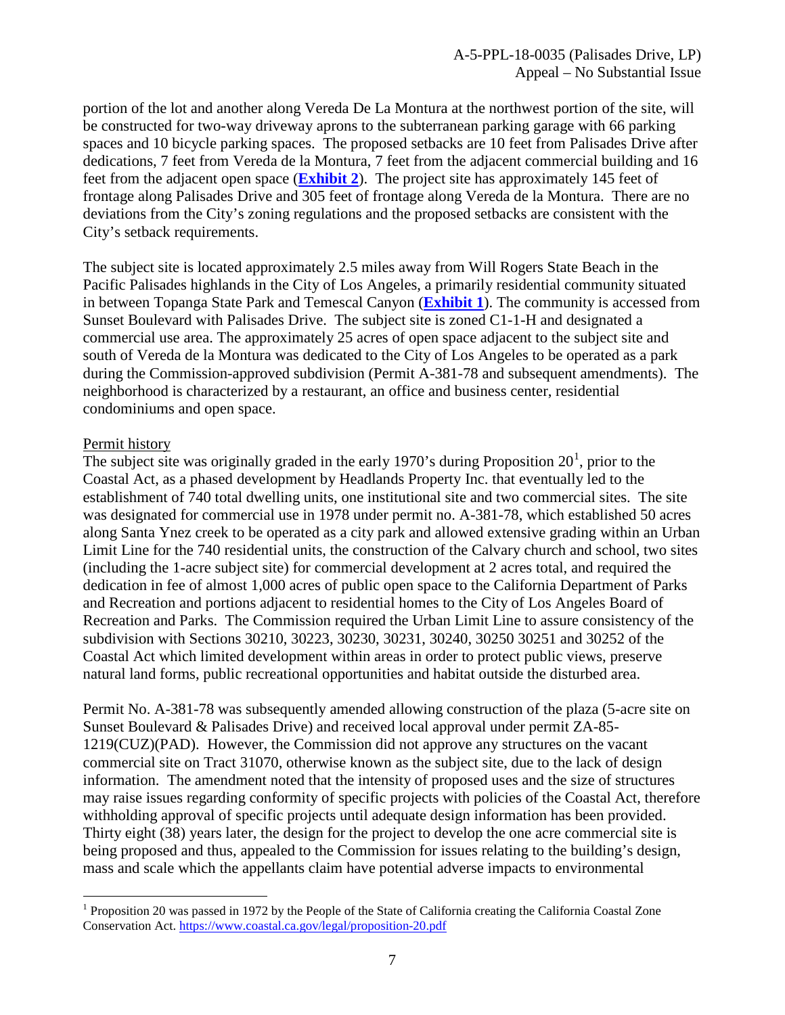portion of the lot and another along Vereda De La Montura at the northwest portion of the site, will be constructed for two-way driveway aprons to the subterranean parking garage with 66 parking spaces and 10 bicycle parking spaces. The proposed setbacks are 10 feet from Palisades Drive after dedications, 7 feet from Vereda de la Montura, 7 feet from the adjacent commercial building and 16 feet from the adjacent open space (**[Exhibit 2](https://documents.coastal.ca.gov/reports/2018/7/W15c/W15c-7-2018-exhibits.pdf)**). The project site has approximately 145 feet of frontage along Palisades Drive and 305 feet of frontage along Vereda de la Montura. There are no deviations from the City's zoning regulations and the proposed setbacks are consistent with the City's setback requirements.

The subject site is located approximately 2.5 miles away from Will Rogers State Beach in the Pacific Palisades highlands in the City of Los Angeles, a primarily residential community situated in between Topanga State Park and Temescal Canyon (**[Exhibit 1](https://documents.coastal.ca.gov/reports/2018/7/W15c/W15c-7-2018-exhibits.pdf)**). The community is accessed from Sunset Boulevard with Palisades Drive. The subject site is zoned C1-1-H and designated a commercial use area. The approximately 25 acres of open space adjacent to the subject site and south of Vereda de la Montura was dedicated to the City of Los Angeles to be operated as a park during the Commission-approved subdivision (Permit A-381-78 and subsequent amendments). The neighborhood is characterized by a restaurant, an office and business center, residential condominiums and open space.

### Permit history

The subject site was originally graded in the early [1](#page-6-0)970's during Proposition  $20<sup>1</sup>$ , prior to the Coastal Act, as a phased development by Headlands Property Inc. that eventually led to the establishment of 740 total dwelling units, one institutional site and two commercial sites. The site was designated for commercial use in 1978 under permit no. A-381-78, which established 50 acres along Santa Ynez creek to be operated as a city park and allowed extensive grading within an Urban Limit Line for the 740 residential units, the construction of the Calvary church and school, two sites (including the 1-acre subject site) for commercial development at 2 acres total, and required the dedication in fee of almost 1,000 acres of public open space to the California Department of Parks and Recreation and portions adjacent to residential homes to the City of Los Angeles Board of Recreation and Parks. The Commission required the Urban Limit Line to assure consistency of the subdivision with Sections 30210, 30223, 30230, 30231, 30240, 30250 30251 and 30252 of the Coastal Act which limited development within areas in order to protect public views, preserve natural land forms, public recreational opportunities and habitat outside the disturbed area.

Permit No. A-381-78 was subsequently amended allowing construction of the plaza (5-acre site on Sunset Boulevard & Palisades Drive) and received local approval under permit ZA-85- 1219(CUZ)(PAD). However, the Commission did not approve any structures on the vacant commercial site on Tract 31070, otherwise known as the subject site, due to the lack of design information. The amendment noted that the intensity of proposed uses and the size of structures may raise issues regarding conformity of specific projects with policies of the Coastal Act, therefore withholding approval of specific projects until adequate design information has been provided. Thirty eight (38) years later, the design for the project to develop the one acre commercial site is being proposed and thus, appealed to the Commission for issues relating to the building's design, mass and scale which the appellants claim have potential adverse impacts to environmental

<span id="page-6-0"></span> $\overline{a}$ <sup>1</sup> Proposition 20 was passed in 1972 by the People of the State of California creating the California Coastal Zone Conservation Act.<https://www.coastal.ca.gov/legal/proposition-20.pdf>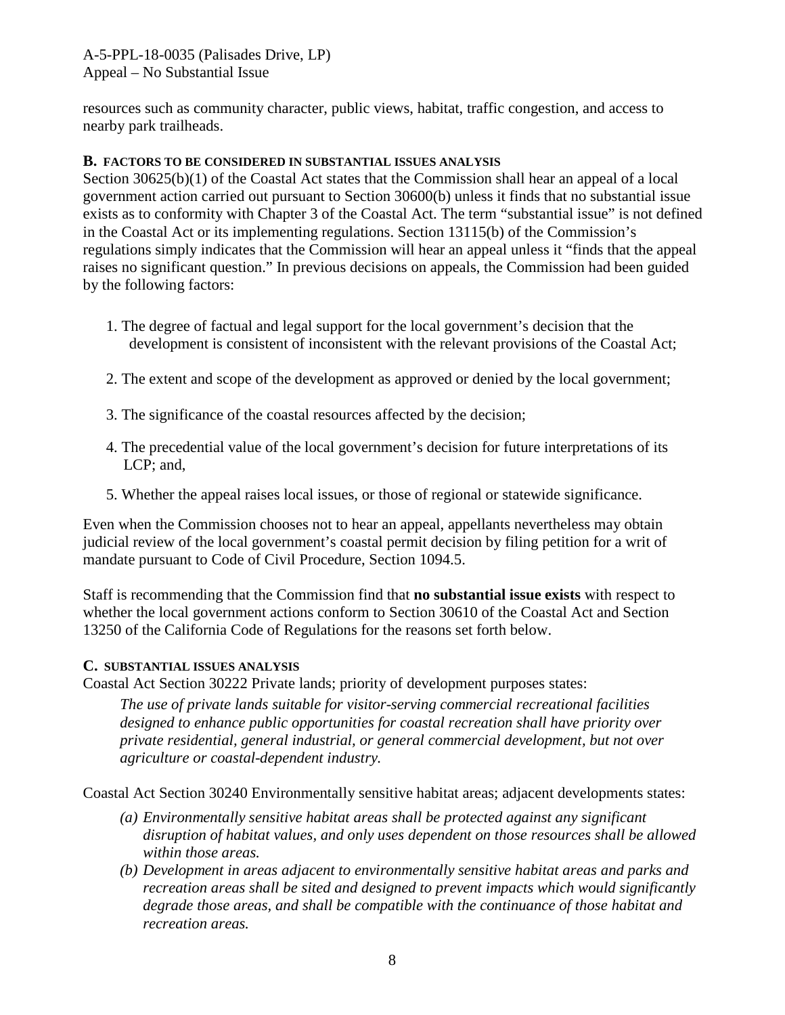resources such as community character, public views, habitat, traffic congestion, and access to nearby park trailheads.

### <span id="page-7-0"></span>**B. FACTORS TO BE CONSIDERED IN SUBSTANTIAL ISSUES ANALYSIS**

Section 30625(b)(1) of the Coastal Act states that the Commission shall hear an appeal of a local government action carried out pursuant to Section 30600(b) unless it finds that no substantial issue exists as to conformity with Chapter 3 of the Coastal Act. The term "substantial issue" is not defined in the Coastal Act or its implementing regulations. Section 13115(b) of the Commission's regulations simply indicates that the Commission will hear an appeal unless it "finds that the appeal raises no significant question." In previous decisions on appeals, the Commission had been guided by the following factors:

- 1. The degree of factual and legal support for the local government's decision that the development is consistent of inconsistent with the relevant provisions of the Coastal Act;
- 2. The extent and scope of the development as approved or denied by the local government;
- 3. The significance of the coastal resources affected by the decision;
- 4. The precedential value of the local government's decision for future interpretations of its LCP; and,
- 5. Whether the appeal raises local issues, or those of regional or statewide significance.

Even when the Commission chooses not to hear an appeal, appellants nevertheless may obtain judicial review of the local government's coastal permit decision by filing petition for a writ of mandate pursuant to Code of Civil Procedure, Section 1094.5.

Staff is recommending that the Commission find that **no substantial issue exists** with respect to whether the local government actions conform to Section 30610 of the Coastal Act and Section 13250 of the California Code of Regulations for the reasons set forth below.

#### <span id="page-7-1"></span>**C. SUBSTANTIAL ISSUES ANALYSIS**

Coastal Act Section 30222 Private lands; priority of development purposes states:

*The use of private lands suitable for visitor-serving commercial recreational facilities designed to enhance public opportunities for coastal recreation shall have priority over private residential, general industrial, or general commercial development, but not over agriculture or coastal-dependent industry.* 

Coastal Act Section 30240 Environmentally sensitive habitat areas; adjacent developments states:

- *(a) Environmentally sensitive habitat areas shall be protected against any significant disruption of habitat values, and only uses dependent on those resources shall be allowed within those areas.*
- *(b) Development in areas adjacent to environmentally sensitive habitat areas and parks and recreation areas shall be sited and designed to prevent impacts which would significantly degrade those areas, and shall be compatible with the continuance of those habitat and recreation areas.*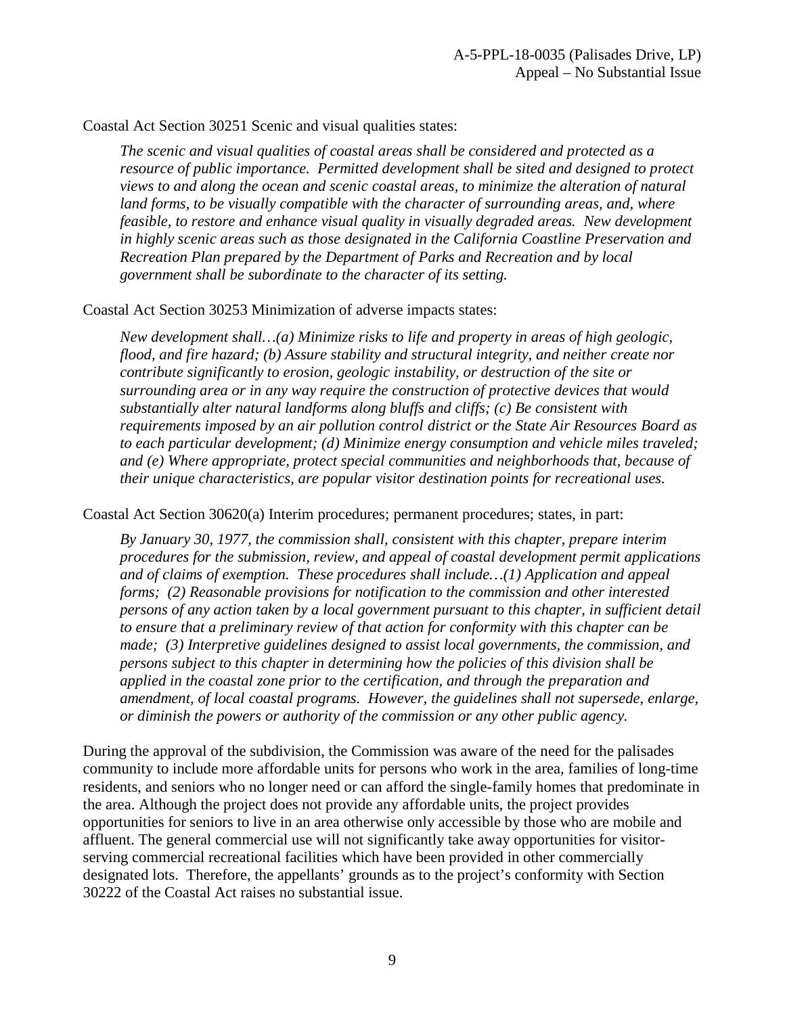Coastal Act Section 30251 Scenic and visual qualities states:

*The scenic and visual qualities of coastal areas shall be considered and protected as a resource of public importance. Permitted development shall be sited and designed to protect views to and along the ocean and scenic coastal areas, to minimize the alteration of natural*  land forms, to be visually compatible with the character of surrounding areas, and, where *feasible, to restore and enhance visual quality in visually degraded areas. New development in highly scenic areas such as those designated in the California Coastline Preservation and Recreation Plan prepared by the Department of Parks and Recreation and by local government shall be subordinate to the character of its setting.* 

Coastal Act Section 30253 Minimization of adverse impacts states:

*New development shall…(a) Minimize risks to life and property in areas of high geologic, flood, and fire hazard; (b) Assure stability and structural integrity, and neither create nor contribute significantly to erosion, geologic instability, or destruction of the site or surrounding area or in any way require the construction of protective devices that would substantially alter natural landforms along bluffs and cliffs; (c) Be consistent with requirements imposed by an air pollution control district or the State Air Resources Board as to each particular development; (d) Minimize energy consumption and vehicle miles traveled; and (e) Where appropriate, protect special communities and neighborhoods that, because of their unique characteristics, are popular visitor destination points for recreational uses.*

Coastal Act Section 30620(a) Interim procedures; permanent procedures; states, in part:

*By January 30, 1977, the commission shall, consistent with this chapter, prepare interim procedures for the submission, review, and appeal of coastal development permit applications and of claims of exemption. These procedures shall include…(1) Application and appeal forms; (2) Reasonable provisions for notification to the commission and other interested persons of any action taken by a local government pursuant to this chapter, in sufficient detail to ensure that a preliminary review of that action for conformity with this chapter can be made; (3) Interpretive guidelines designed to assist local governments, the commission, and persons subject to this chapter in determining how the policies of this division shall be applied in the coastal zone prior to the certification, and through the preparation and amendment, of local coastal programs. However, the guidelines shall not supersede, enlarge, or diminish the powers or authority of the commission or any other public agency.* 

During the approval of the subdivision, the Commission was aware of the need for the palisades community to include more affordable units for persons who work in the area, families of long-time residents, and seniors who no longer need or can afford the single-family homes that predominate in the area. Although the project does not provide any affordable units, the project provides opportunities for seniors to live in an area otherwise only accessible by those who are mobile and affluent. The general commercial use will not significantly take away opportunities for visitorserving commercial recreational facilities which have been provided in other commercially designated lots. Therefore, the appellants' grounds as to the project's conformity with Section 30222 of the Coastal Act raises no substantial issue.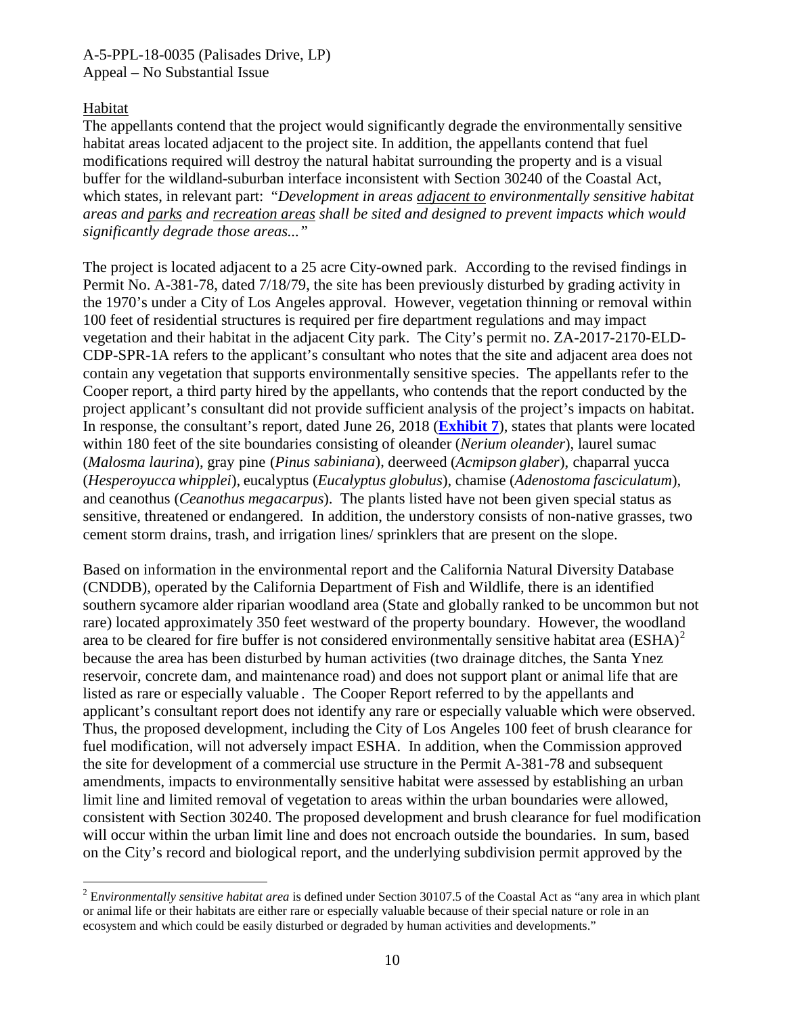### Habitat

 $\overline{a}$ 

The appellants contend that the project would significantly degrade the environmentally sensitive habitat areas located adjacent to the project site. In addition, the appellants contend that fuel modifications required will destroy the natural habitat surrounding the property and is a visual buffer for the wildland-suburban interface inconsistent with Section 30240 of the Coastal Act, which states, in relevant part: "*Development in areas adjacent to environmentally sensitive habitat areas and parks and recreation areas shall be sited and designed to prevent impacts which would significantly degrade those areas..."*

The project is located adjacent to a 25 acre City-owned park. According to the revised findings in Permit No. A-381-78, dated 7/18/79, the site has been previously disturbed by grading activity in the 1970's under a City of Los Angeles approval. However, vegetation thinning or removal within 100 feet of residential structures is required per fire department regulations and may impact vegetation and their habitat in the adjacent City park. The City's permit no. ZA-2017-2170-ELD-CDP-SPR-1A refers to the applicant's consultant who notes that the site and adjacent area does not contain any vegetation that supports environmentally sensitive species. The appellants refer to the Cooper report, a third party hired by the appellants, who contends that the report conducted by the project applicant's consultant did not provide sufficient analysis of the project's impacts on habitat. In response, the consultant's report, dated June 26, 2018 (**[Exhibit 7](https://documents.coastal.ca.gov/reports/2018/7/W15c/W15c-7-2018-exhibits.pdf)**), states that plants were located within 180 feet of the site boundaries consisting of oleander (*Nerium oleander*), laurel sumac (*Malosma laurina*), gray pine (*Pinus sabiniana*), deerweed (*Acmipson glaber*), chaparral yucca (*Hesperoyucca whipplei*), eucalyptus (*Eucalyptus globulus*), chamise (*Adenostoma fasciculatum*), and ceanothus (*Ceanothus megacarpus*). The plants listed have not been given special status as sensitive, threatened or endangered. In addition, the understory consists of non-native grasses, two cement storm drains, trash, and irrigation lines/ sprinklers that are present on the slope.

Based on information in the environmental report and the California Natural Diversity Database (CNDDB), operated by the California Department of Fish and Wildlife, there is an identified southern sycamore alder riparian woodland area (State and globally ranked to be uncommon but not rare) located approximately 350 feet westward of the property boundary. However, the woodland area to be cleared for fire buffer is not considered environmentally sensitive habitat area  $(ESHA)^2$  $(ESHA)^2$ because the area has been disturbed by human activities (two drainage ditches, the Santa Ynez reservoir, concrete dam, and maintenance road) and does not support plant or animal life that are listed as rare or especially valuable . The Cooper Report referred to by the appellants and applicant's consultant report does not identify any rare or especially valuable which were observed. Thus, the proposed development, including the City of Los Angeles 100 feet of brush clearance for fuel modification, will not adversely impact ESHA. In addition, when the Commission approved the site for development of a commercial use structure in the Permit A-381-78 and subsequent amendments, impacts to environmentally sensitive habitat were assessed by establishing an urban limit line and limited removal of vegetation to areas within the urban boundaries were allowed, consistent with Section 30240. The proposed development and brush clearance for fuel modification will occur within the urban limit line and does not encroach outside the boundaries. In sum, based on the City's record and biological report, and the underlying subdivision permit approved by the

<span id="page-9-0"></span><sup>2</sup> E*nvironmentally sensitive habitat area* is defined under Section 30107.5 of the Coastal Act as "any area in which plant or animal life or their habitats are either rare or especially valuable because of their special nature or role in an ecosystem and which could be easily disturbed or degraded by human activities and developments."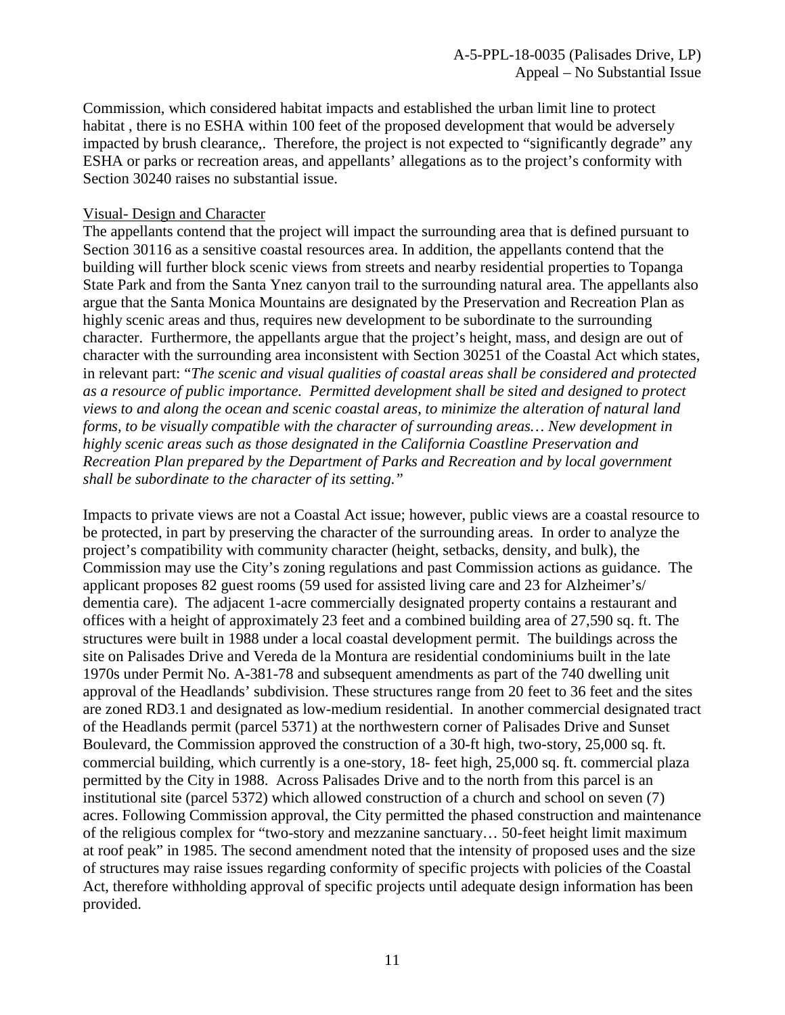Commission, which considered habitat impacts and established the urban limit line to protect habitat, there is no ESHA within 100 feet of the proposed development that would be adversely impacted by brush clearance,. Therefore, the project is not expected to "significantly degrade" any ESHA or parks or recreation areas, and appellants' allegations as to the project's conformity with Section 30240 raises no substantial issue.

#### Visual- Design and Character

The appellants contend that the project will impact the surrounding area that is defined pursuant to Section 30116 as a sensitive coastal resources area. In addition, the appellants contend that the building will further block scenic views from streets and nearby residential properties to Topanga State Park and from the Santa Ynez canyon trail to the surrounding natural area. The appellants also argue that the Santa Monica Mountains are designated by the Preservation and Recreation Plan as highly scenic areas and thus, requires new development to be subordinate to the surrounding character. Furthermore, the appellants argue that the project's height, mass, and design are out of character with the surrounding area inconsistent with Section 30251 of the Coastal Act which states, in relevant part: "*The scenic and visual qualities of coastal areas shall be considered and protected as a resource of public importance. Permitted development shall be sited and designed to protect views to and along the ocean and scenic coastal areas, to minimize the alteration of natural land forms, to be visually compatible with the character of surrounding areas… New development in highly scenic areas such as those designated in the California Coastline Preservation and Recreation Plan prepared by the Department of Parks and Recreation and by local government shall be subordinate to the character of its setting*.*"*

Impacts to private views are not a Coastal Act issue; however, public views are a coastal resource to be protected, in part by preserving the character of the surrounding areas. In order to analyze the project's compatibility with community character (height, setbacks, density, and bulk), the Commission may use the City's zoning regulations and past Commission actions as guidance. The applicant proposes 82 guest rooms (59 used for assisted living care and 23 for Alzheimer's/ dementia care). The adjacent 1-acre commercially designated property contains a restaurant and offices with a height of approximately 23 feet and a combined building area of 27,590 sq. ft. The structures were built in 1988 under a local coastal development permit. The buildings across the site on Palisades Drive and Vereda de la Montura are residential condominiums built in the late 1970s under Permit No. A-381-78 and subsequent amendments as part of the 740 dwelling unit approval of the Headlands' subdivision. These structures range from 20 feet to 36 feet and the sites are zoned RD3.1 and designated as low-medium residential. In another commercial designated tract of the Headlands permit (parcel 5371) at the northwestern corner of Palisades Drive and Sunset Boulevard, the Commission approved the construction of a 30-ft high, two-story, 25,000 sq. ft. commercial building, which currently is a one-story, 18- feet high, 25,000 sq. ft. commercial plaza permitted by the City in 1988. Across Palisades Drive and to the north from this parcel is an institutional site (parcel 5372) which allowed construction of a church and school on seven (7) acres. Following Commission approval, the City permitted the phased construction and maintenance of the religious complex for "two-story and mezzanine sanctuary… 50-feet height limit maximum at roof peak" in 1985. The second amendment noted that the intensity of proposed uses and the size of structures may raise issues regarding conformity of specific projects with policies of the Coastal Act, therefore withholding approval of specific projects until adequate design information has been provided.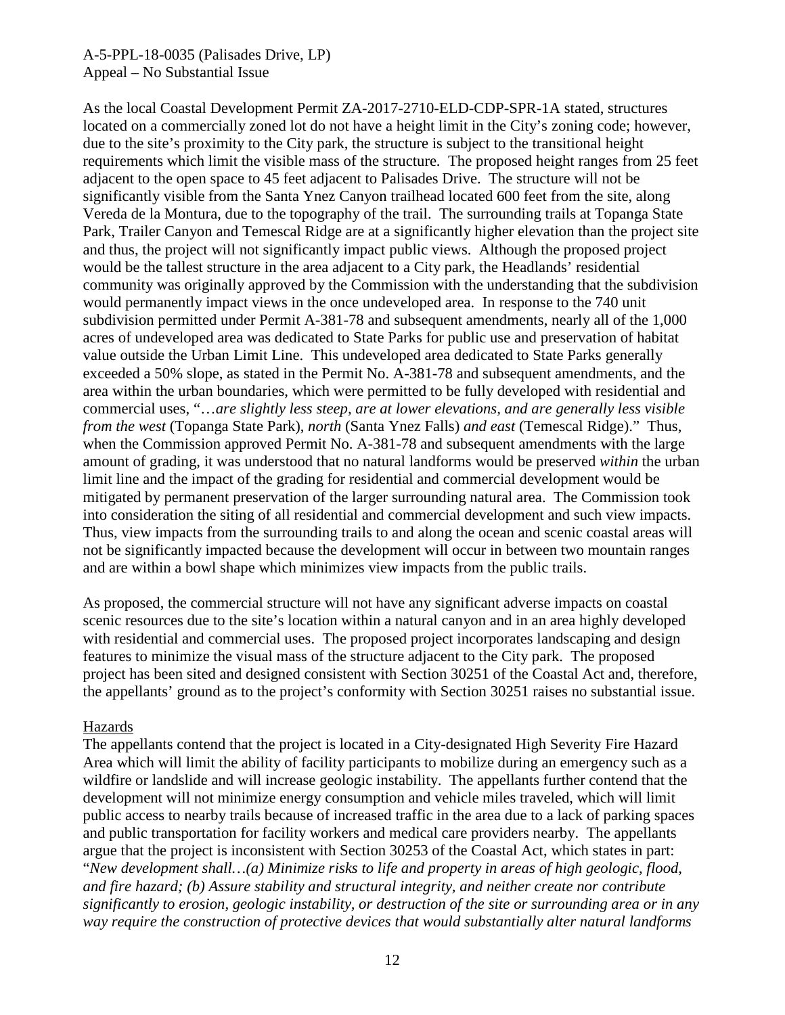As the local Coastal Development Permit ZA-2017-2710-ELD-CDP-SPR-1A stated, structures located on a commercially zoned lot do not have a height limit in the City's zoning code; however, due to the site's proximity to the City park, the structure is subject to the transitional height requirements which limit the visible mass of the structure. The proposed height ranges from 25 feet adjacent to the open space to 45 feet adjacent to Palisades Drive. The structure will not be significantly visible from the Santa Ynez Canyon trailhead located 600 feet from the site, along Vereda de la Montura, due to the topography of the trail. The surrounding trails at Topanga State Park, Trailer Canyon and Temescal Ridge are at a significantly higher elevation than the project site and thus, the project will not significantly impact public views. Although the proposed project would be the tallest structure in the area adjacent to a City park, the Headlands' residential community was originally approved by the Commission with the understanding that the subdivision would permanently impact views in the once undeveloped area. In response to the 740 unit subdivision permitted under Permit A-381-78 and subsequent amendments, nearly all of the 1,000 acres of undeveloped area was dedicated to State Parks for public use and preservation of habitat value outside the Urban Limit Line. This undeveloped area dedicated to State Parks generally exceeded a 50% slope, as stated in the Permit No. A-381-78 and subsequent amendments, and the area within the urban boundaries, which were permitted to be fully developed with residential and commercial uses, "…*are slightly less steep, are at lower elevations, and are generally less visible from the west* (Topanga State Park), *north* (Santa Ynez Falls) *and east* (Temescal Ridge)." Thus, when the Commission approved Permit No. A-381-78 and subsequent amendments with the large amount of grading, it was understood that no natural landforms would be preserved *within* the urban limit line and the impact of the grading for residential and commercial development would be mitigated by permanent preservation of the larger surrounding natural area. The Commission took into consideration the siting of all residential and commercial development and such view impacts. Thus, view impacts from the surrounding trails to and along the ocean and scenic coastal areas will not be significantly impacted because the development will occur in between two mountain ranges and are within a bowl shape which minimizes view impacts from the public trails.

As proposed, the commercial structure will not have any significant adverse impacts on coastal scenic resources due to the site's location within a natural canyon and in an area highly developed with residential and commercial uses. The proposed project incorporates landscaping and design features to minimize the visual mass of the structure adjacent to the City park. The proposed project has been sited and designed consistent with Section 30251 of the Coastal Act and, therefore, the appellants' ground as to the project's conformity with Section 30251 raises no substantial issue.

### Hazards

The appellants contend that the project is located in a City-designated High Severity Fire Hazard Area which will limit the ability of facility participants to mobilize during an emergency such as a wildfire or landslide and will increase geologic instability. The appellants further contend that the development will not minimize energy consumption and vehicle miles traveled, which will limit public access to nearby trails because of increased traffic in the area due to a lack of parking spaces and public transportation for facility workers and medical care providers nearby. The appellants argue that the project is inconsistent with Section 30253 of the Coastal Act, which states in part: "*New development shall…(a) Minimize risks to life and property in areas of high geologic, flood, and fire hazard; (b) Assure stability and structural integrity, and neither create nor contribute significantly to erosion, geologic instability, or destruction of the site or surrounding area or in any way require the construction of protective devices that would substantially alter natural landforms*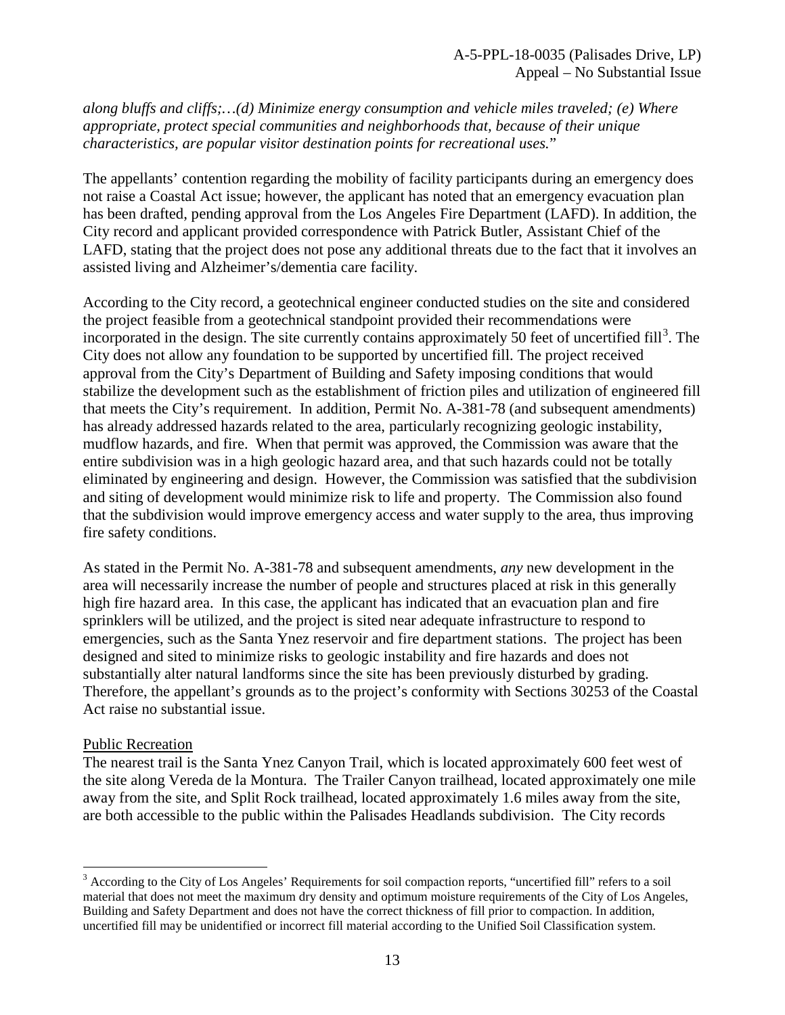*along bluffs and cliffs;…(d) Minimize energy consumption and vehicle miles traveled; (e) Where appropriate, protect special communities and neighborhoods that, because of their unique characteristics, are popular visitor destination points for recreational uses.*"

The appellants' contention regarding the mobility of facility participants during an emergency does not raise a Coastal Act issue; however, the applicant has noted that an emergency evacuation plan has been drafted, pending approval from the Los Angeles Fire Department (LAFD). In addition, the City record and applicant provided correspondence with Patrick Butler, Assistant Chief of the LAFD, stating that the project does not pose any additional threats due to the fact that it involves an assisted living and Alzheimer's/dementia care facility.

According to the City record, a geotechnical engineer conducted studies on the site and considered the project feasible from a geotechnical standpoint provided their recommendations were incorporated in the design. The site currently contains approximately 50 feet of uncertified fill<sup>[3](#page-12-0)</sup>. The City does not allow any foundation to be supported by uncertified fill. The project received approval from the City's Department of Building and Safety imposing conditions that would stabilize the development such as the establishment of friction piles and utilization of engineered fill that meets the City's requirement. In addition, Permit No. A-381-78 (and subsequent amendments) has already addressed hazards related to the area, particularly recognizing geologic instability, mudflow hazards, and fire. When that permit was approved, the Commission was aware that the entire subdivision was in a high geologic hazard area, and that such hazards could not be totally eliminated by engineering and design. However, the Commission was satisfied that the subdivision and siting of development would minimize risk to life and property. The Commission also found that the subdivision would improve emergency access and water supply to the area, thus improving fire safety conditions.

As stated in the Permit No. A-381-78 and subsequent amendments, *any* new development in the area will necessarily increase the number of people and structures placed at risk in this generally high fire hazard area. In this case, the applicant has indicated that an evacuation plan and fire sprinklers will be utilized, and the project is sited near adequate infrastructure to respond to emergencies, such as the Santa Ynez reservoir and fire department stations. The project has been designed and sited to minimize risks to geologic instability and fire hazards and does not substantially alter natural landforms since the site has been previously disturbed by grading. Therefore, the appellant's grounds as to the project's conformity with Sections 30253 of the Coastal Act raise no substantial issue.

### Public Recreation

 $\overline{a}$ 

The nearest trail is the Santa Ynez Canyon Trail, which is located approximately 600 feet west of the site along Vereda de la Montura. The Trailer Canyon trailhead, located approximately one mile away from the site, and Split Rock trailhead, located approximately 1.6 miles away from the site, are both accessible to the public within the Palisades Headlands subdivision. The City records

<span id="page-12-0"></span> $3$  According to the City of Los Angeles' Requirements for soil compaction reports, "uncertified fill" refers to a soil material that does not meet the maximum dry density and optimum moisture requirements of the City of Los Angeles, Building and Safety Department and does not have the correct thickness of fill prior to compaction. In addition, uncertified fill may be unidentified or incorrect fill material according to the Unified Soil Classification system.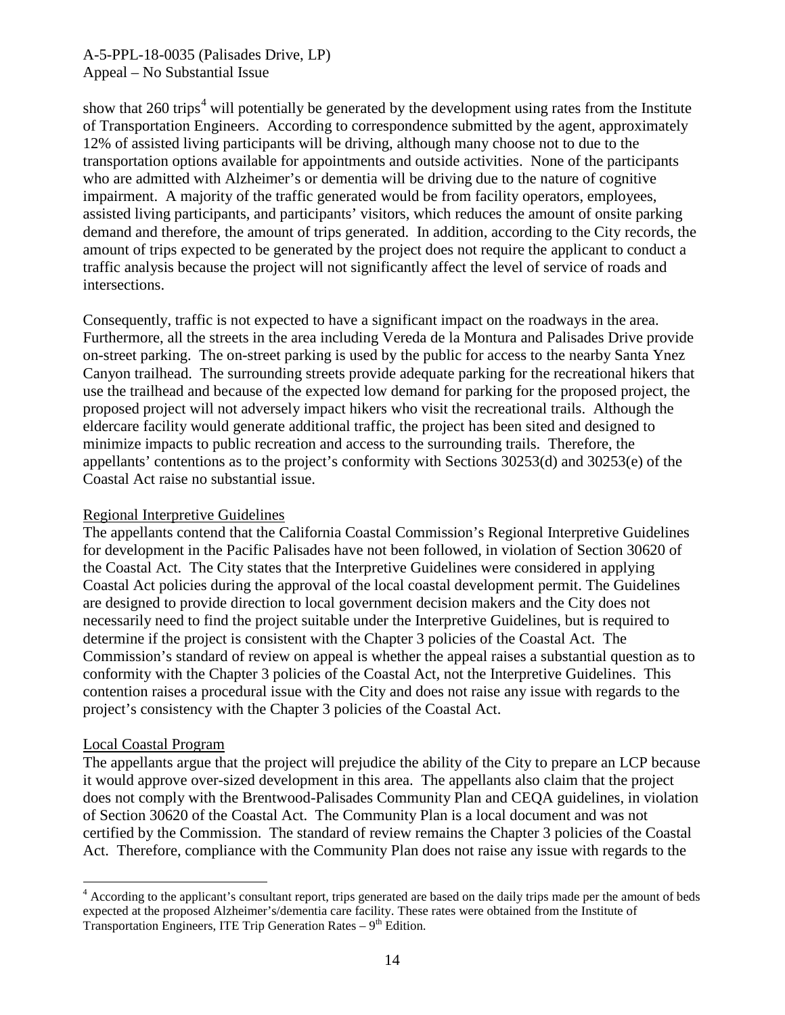show that 260 trips<sup>[4](#page-13-0)</sup> will potentially be generated by the development using rates from the Institute of Transportation Engineers. According to correspondence submitted by the agent, approximately 12% of assisted living participants will be driving, although many choose not to due to the transportation options available for appointments and outside activities. None of the participants who are admitted with Alzheimer's or dementia will be driving due to the nature of cognitive impairment. A majority of the traffic generated would be from facility operators, employees, assisted living participants, and participants' visitors, which reduces the amount of onsite parking demand and therefore, the amount of trips generated. In addition, according to the City records, the amount of trips expected to be generated by the project does not require the applicant to conduct a traffic analysis because the project will not significantly affect the level of service of roads and intersections.

Consequently, traffic is not expected to have a significant impact on the roadways in the area. Furthermore, all the streets in the area including Vereda de la Montura and Palisades Drive provide on-street parking. The on-street parking is used by the public for access to the nearby Santa Ynez Canyon trailhead. The surrounding streets provide adequate parking for the recreational hikers that use the trailhead and because of the expected low demand for parking for the proposed project, the proposed project will not adversely impact hikers who visit the recreational trails. Although the eldercare facility would generate additional traffic, the project has been sited and designed to minimize impacts to public recreation and access to the surrounding trails. Therefore, the appellants' contentions as to the project's conformity with Sections 30253(d) and 30253(e) of the Coastal Act raise no substantial issue.

### Regional Interpretive Guidelines

The appellants contend that the California Coastal Commission's Regional Interpretive Guidelines for development in the Pacific Palisades have not been followed, in violation of Section 30620 of the Coastal Act. The City states that the Interpretive Guidelines were considered in applying Coastal Act policies during the approval of the local coastal development permit. The Guidelines are designed to provide direction to local government decision makers and the City does not necessarily need to find the project suitable under the Interpretive Guidelines, but is required to determine if the project is consistent with the Chapter 3 policies of the Coastal Act. The Commission's standard of review on appeal is whether the appeal raises a substantial question as to conformity with the Chapter 3 policies of the Coastal Act, not the Interpretive Guidelines. This contention raises a procedural issue with the City and does not raise any issue with regards to the project's consistency with the Chapter 3 policies of the Coastal Act.

### Local Coastal Program

The appellants argue that the project will prejudice the ability of the City to prepare an LCP because it would approve over-sized development in this area. The appellants also claim that the project does not comply with the Brentwood-Palisades Community Plan and CEQA guidelines, in violation of Section 30620 of the Coastal Act. The Community Plan is a local document and was not certified by the Commission. The standard of review remains the Chapter 3 policies of the Coastal Act. Therefore, compliance with the Community Plan does not raise any issue with regards to the

<span id="page-13-0"></span> $\overline{a}$  $4$  According to the applicant's consultant report, trips generated are based on the daily trips made per the amount of beds expected at the proposed Alzheimer's/dementia care facility. These rates were obtained from the Institute of Transportation Engineers, ITE Trip Generation Rates –  $9<sup>th</sup>$  Edition.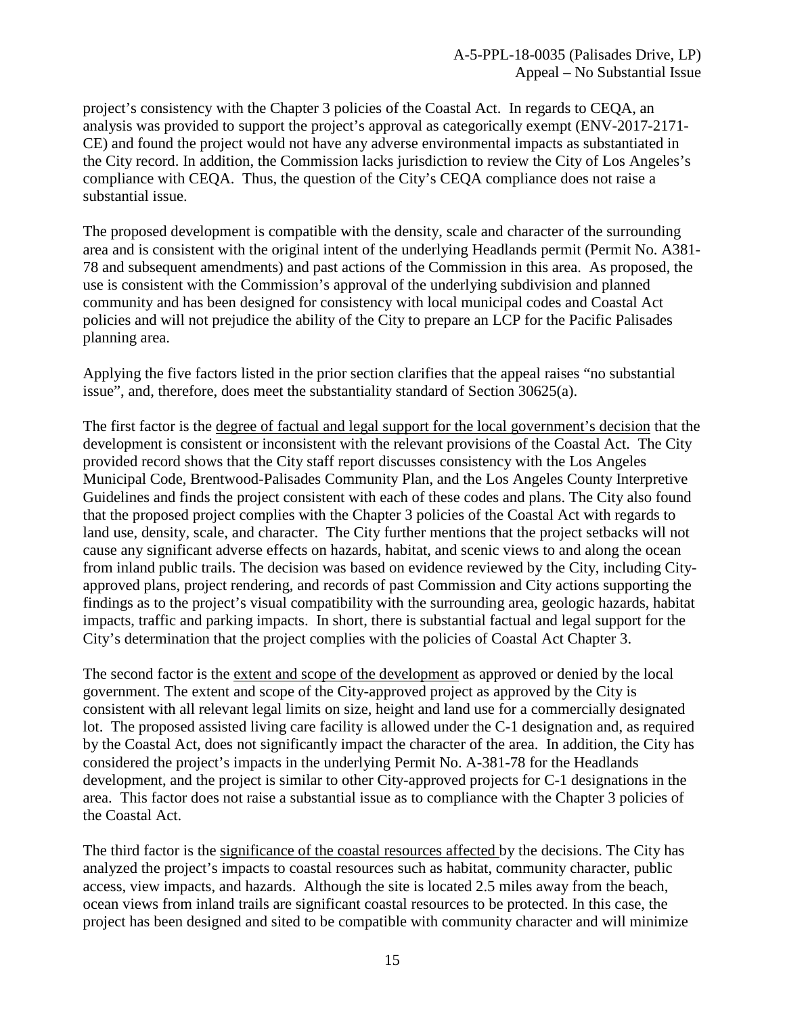project's consistency with the Chapter 3 policies of the Coastal Act. In regards to CEQA, an analysis was provided to support the project's approval as categorically exempt (ENV-2017-2171- CE) and found the project would not have any adverse environmental impacts as substantiated in the City record. In addition, the Commission lacks jurisdiction to review the City of Los Angeles's compliance with CEQA. Thus, the question of the City's CEQA compliance does not raise a substantial issue.

The proposed development is compatible with the density, scale and character of the surrounding area and is consistent with the original intent of the underlying Headlands permit (Permit No. A381- 78 and subsequent amendments) and past actions of the Commission in this area. As proposed, the use is consistent with the Commission's approval of the underlying subdivision and planned community and has been designed for consistency with local municipal codes and Coastal Act policies and will not prejudice the ability of the City to prepare an LCP for the Pacific Palisades planning area.

Applying the five factors listed in the prior section clarifies that the appeal raises "no substantial issue", and, therefore, does meet the substantiality standard of Section 30625(a).

The first factor is the degree of factual and legal support for the local government's decision that the development is consistent or inconsistent with the relevant provisions of the Coastal Act. The City provided record shows that the City staff report discusses consistency with the Los Angeles Municipal Code, Brentwood-Palisades Community Plan, and the Los Angeles County Interpretive Guidelines and finds the project consistent with each of these codes and plans. The City also found that the proposed project complies with the Chapter 3 policies of the Coastal Act with regards to land use, density, scale, and character. The City further mentions that the project setbacks will not cause any significant adverse effects on hazards, habitat, and scenic views to and along the ocean from inland public trails. The decision was based on evidence reviewed by the City, including Cityapproved plans, project rendering, and records of past Commission and City actions supporting the findings as to the project's visual compatibility with the surrounding area, geologic hazards, habitat impacts, traffic and parking impacts. In short, there is substantial factual and legal support for the City's determination that the project complies with the policies of Coastal Act Chapter 3.

The second factor is the extent and scope of the development as approved or denied by the local government. The extent and scope of the City-approved project as approved by the City is consistent with all relevant legal limits on size, height and land use for a commercially designated lot. The proposed assisted living care facility is allowed under the C-1 designation and, as required by the Coastal Act, does not significantly impact the character of the area. In addition, the City has considered the project's impacts in the underlying Permit No. A-381-78 for the Headlands development, and the project is similar to other City-approved projects for C-1 designations in the area. This factor does not raise a substantial issue as to compliance with the Chapter 3 policies of the Coastal Act.

The third factor is the significance of the coastal resources affected by the decisions. The City has analyzed the project's impacts to coastal resources such as habitat, community character, public access, view impacts, and hazards. Although the site is located 2.5 miles away from the beach, ocean views from inland trails are significant coastal resources to be protected. In this case, the project has been designed and sited to be compatible with community character and will minimize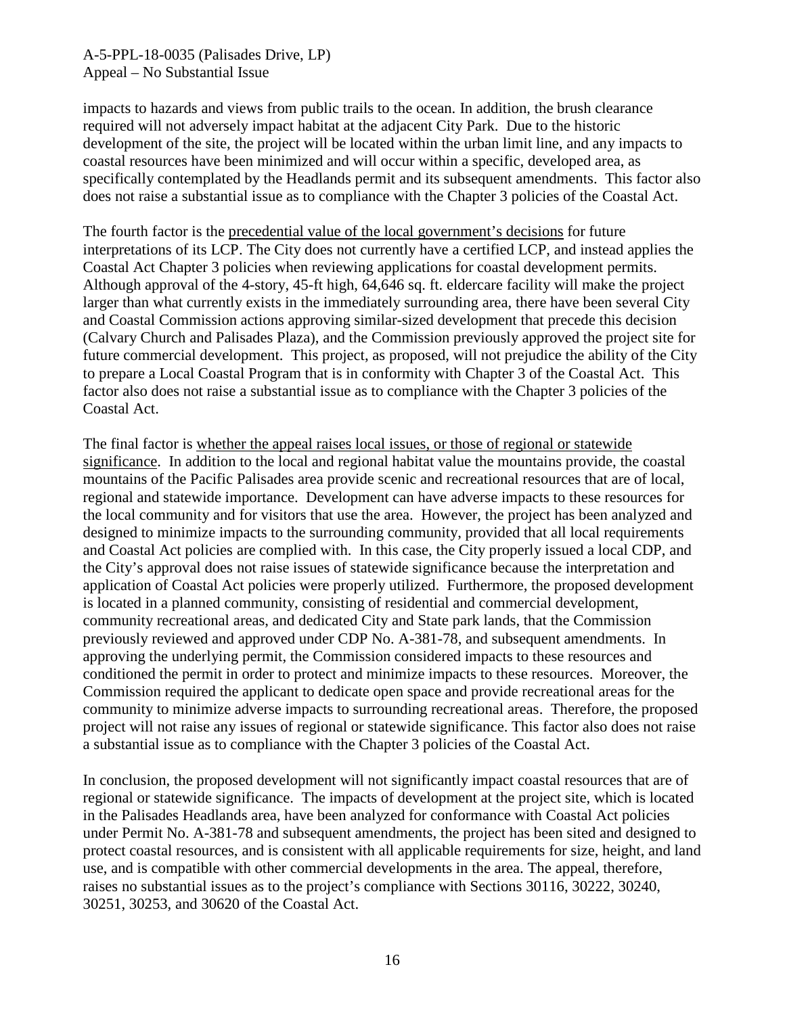impacts to hazards and views from public trails to the ocean. In addition, the brush clearance required will not adversely impact habitat at the adjacent City Park. Due to the historic development of the site, the project will be located within the urban limit line, and any impacts to coastal resources have been minimized and will occur within a specific, developed area, as specifically contemplated by the Headlands permit and its subsequent amendments. This factor also does not raise a substantial issue as to compliance with the Chapter 3 policies of the Coastal Act.

The fourth factor is the precedential value of the local government's decisions for future interpretations of its LCP. The City does not currently have a certified LCP, and instead applies the Coastal Act Chapter 3 policies when reviewing applications for coastal development permits. Although approval of the 4-story, 45-ft high, 64,646 sq. ft. eldercare facility will make the project larger than what currently exists in the immediately surrounding area, there have been several City and Coastal Commission actions approving similar-sized development that precede this decision (Calvary Church and Palisades Plaza), and the Commission previously approved the project site for future commercial development. This project, as proposed, will not prejudice the ability of the City to prepare a Local Coastal Program that is in conformity with Chapter 3 of the Coastal Act. This factor also does not raise a substantial issue as to compliance with the Chapter 3 policies of the Coastal Act.

The final factor is whether the appeal raises local issues, or those of regional or statewide significance. In addition to the local and regional habitat value the mountains provide, the coastal mountains of the Pacific Palisades area provide scenic and recreational resources that are of local, regional and statewide importance. Development can have adverse impacts to these resources for the local community and for visitors that use the area. However, the project has been analyzed and designed to minimize impacts to the surrounding community, provided that all local requirements and Coastal Act policies are complied with. In this case, the City properly issued a local CDP, and the City's approval does not raise issues of statewide significance because the interpretation and application of Coastal Act policies were properly utilized. Furthermore, the proposed development is located in a planned community, consisting of residential and commercial development, community recreational areas, and dedicated City and State park lands, that the Commission previously reviewed and approved under CDP No. A-381-78, and subsequent amendments. In approving the underlying permit, the Commission considered impacts to these resources and conditioned the permit in order to protect and minimize impacts to these resources. Moreover, the Commission required the applicant to dedicate open space and provide recreational areas for the community to minimize adverse impacts to surrounding recreational areas. Therefore, the proposed project will not raise any issues of regional or statewide significance. This factor also does not raise a substantial issue as to compliance with the Chapter 3 policies of the Coastal Act.

In conclusion, the proposed development will not significantly impact coastal resources that are of regional or statewide significance. The impacts of development at the project site, which is located in the Palisades Headlands area, have been analyzed for conformance with Coastal Act policies under Permit No. A-381-78 and subsequent amendments, the project has been sited and designed to protect coastal resources, and is consistent with all applicable requirements for size, height, and land use, and is compatible with other commercial developments in the area. The appeal, therefore, raises no substantial issues as to the project's compliance with Sections 30116, 30222, 30240, 30251, 30253, and 30620 of the Coastal Act.